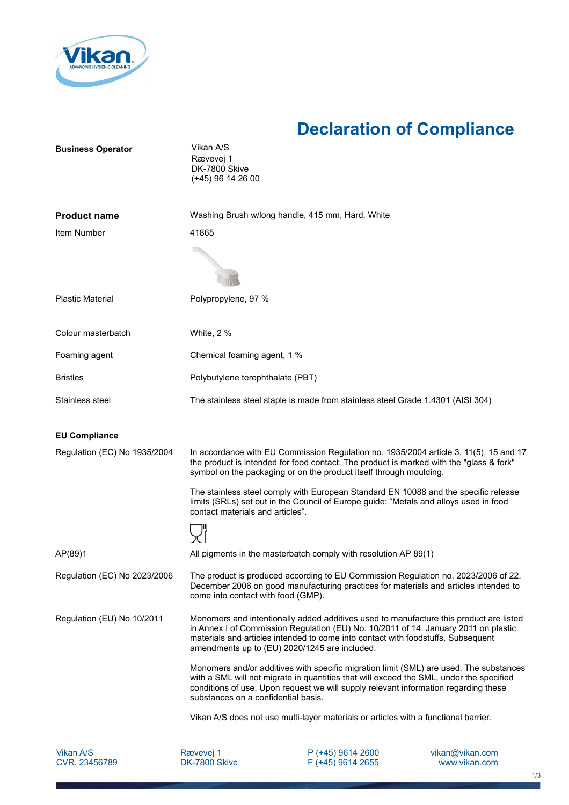

## **Declaration of Compliance**

| <b>Business Operator</b>     | Vikan A/S<br>Rævevej 1<br>DK-7800 Skive<br>(+45) 96 14 26 00                                                                                                                                                                                                                                                       |
|------------------------------|--------------------------------------------------------------------------------------------------------------------------------------------------------------------------------------------------------------------------------------------------------------------------------------------------------------------|
| <b>Product name</b>          | Washing Brush w/long handle, 415 mm, Hard, White                                                                                                                                                                                                                                                                   |
| Item Number                  | 41865                                                                                                                                                                                                                                                                                                              |
|                              |                                                                                                                                                                                                                                                                                                                    |
| <b>Plastic Material</b>      | Polypropylene, 97 %                                                                                                                                                                                                                                                                                                |
| Colour masterbatch           | White, 2 %                                                                                                                                                                                                                                                                                                         |
| Foaming agent                | Chemical foaming agent, 1 %                                                                                                                                                                                                                                                                                        |
| <b>Bristles</b>              | Polybutylene terephthalate (PBT)                                                                                                                                                                                                                                                                                   |
| Stainless steel              | The stainless steel staple is made from stainless steel Grade 1.4301 (AISI 304)                                                                                                                                                                                                                                    |
| <b>EU Compliance</b>         |                                                                                                                                                                                                                                                                                                                    |
| Regulation (EC) No 1935/2004 | In accordance with EU Commission Regulation no. 1935/2004 article 3, 11(5), 15 and 17<br>the product is intended for food contact. The product is marked with the "glass & fork"<br>symbol on the packaging or on the product itself through moulding.                                                             |
|                              | The stainless steel comply with European Standard EN 10088 and the specific release<br>limits (SRLs) set out in the Council of Europe guide: "Metals and alloys used in food<br>contact materials and articles".                                                                                                   |
|                              |                                                                                                                                                                                                                                                                                                                    |
| AP(89)1                      | All pigments in the masterbatch comply with resolution AP 89(1)                                                                                                                                                                                                                                                    |
| Regulation (EC) No 2023/2006 | The product is produced according to EU Commission Regulation no. 2023/2006 of 22.<br>December 2006 on good manufacturing practices for materials and articles intended to<br>come into contact with food (GMP).                                                                                                   |
| Regulation (EU) No 10/2011   | Monomers and intentionally added additives used to manufacture this product are listed<br>in Annex I of Commission Regulation (EU) No. 10/2011 of 14. January 2011 on plastic<br>materials and articles intended to come into contact with foodstuffs. Subsequent<br>amendments up to (EU) 2020/1245 are included. |
|                              | Monomers and/or additives with specific migration limit (SML) are used. The substances<br>with a SML will not migrate in quantities that will exceed the SML, under the specified<br>conditions of use. Upon request we will supply relevant information regarding these<br>substances on a confidential basis.    |
|                              | Vikan A/S does not use multi-layer materials or articles with a functional barrier.                                                                                                                                                                                                                                |

P (+45) 9614 2600 F (+45) 9614 2655 vikan@vikan.com www.vikan.com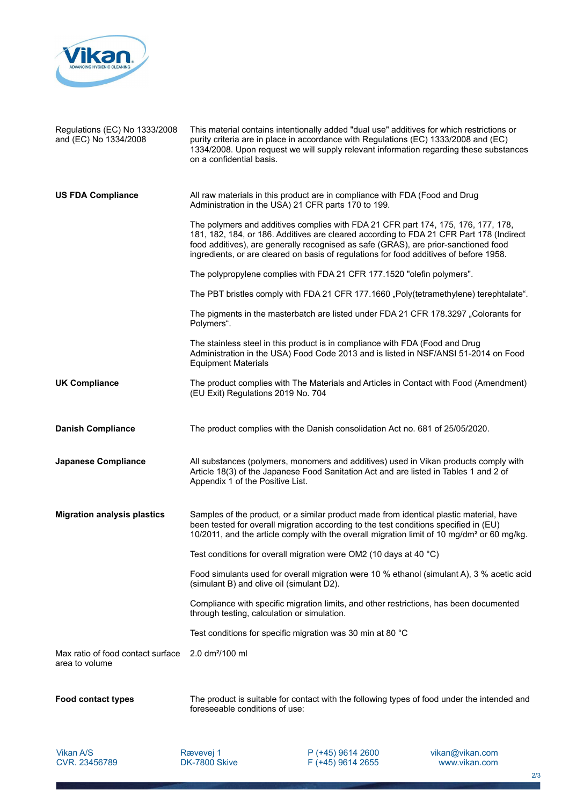

| Regulations (EC) No 1333/2008<br>and (EC) No 1334/2008 | This material contains intentionally added "dual use" additives for which restrictions or<br>purity criteria are in place in accordance with Regulations (EC) 1333/2008 and (EC)<br>1334/2008. Upon request we will supply relevant information regarding these substances<br>on a confidential basis.                                                        |
|--------------------------------------------------------|---------------------------------------------------------------------------------------------------------------------------------------------------------------------------------------------------------------------------------------------------------------------------------------------------------------------------------------------------------------|
| <b>US FDA Compliance</b>                               | All raw materials in this product are in compliance with FDA (Food and Drug<br>Administration in the USA) 21 CFR parts 170 to 199.                                                                                                                                                                                                                            |
|                                                        | The polymers and additives complies with FDA 21 CFR part 174, 175, 176, 177, 178,<br>181, 182, 184, or 186. Additives are cleared according to FDA 21 CFR Part 178 (Indirect<br>food additives), are generally recognised as safe (GRAS), are prior-sanctioned food<br>ingredients, or are cleared on basis of regulations for food additives of before 1958. |
|                                                        | The polypropylene complies with FDA 21 CFR 177.1520 "olefin polymers".                                                                                                                                                                                                                                                                                        |
|                                                        | The PBT bristles comply with FDA 21 CFR 177.1660 "Poly(tetramethylene) terephtalate".                                                                                                                                                                                                                                                                         |
|                                                        | The pigments in the masterbatch are listed under FDA 21 CFR 178.3297 "Colorants for<br>Polymers".                                                                                                                                                                                                                                                             |
|                                                        | The stainless steel in this product is in compliance with FDA (Food and Drug<br>Administration in the USA) Food Code 2013 and is listed in NSF/ANSI 51-2014 on Food<br><b>Equipment Materials</b>                                                                                                                                                             |
| <b>UK Compliance</b>                                   | The product complies with The Materials and Articles in Contact with Food (Amendment)<br>(EU Exit) Regulations 2019 No. 704                                                                                                                                                                                                                                   |
| <b>Danish Compliance</b>                               | The product complies with the Danish consolidation Act no. 681 of 25/05/2020.                                                                                                                                                                                                                                                                                 |
| <b>Japanese Compliance</b>                             | All substances (polymers, monomers and additives) used in Vikan products comply with<br>Article 18(3) of the Japanese Food Sanitation Act and are listed in Tables 1 and 2 of<br>Appendix 1 of the Positive List.                                                                                                                                             |
| <b>Migration analysis plastics</b>                     | Samples of the product, or a similar product made from identical plastic material, have<br>been tested for overall migration according to the test conditions specified in (EU)<br>10/2011, and the article comply with the overall migration limit of 10 mg/dm <sup>2</sup> or 60 mg/kg.                                                                     |
|                                                        | Test conditions for overall migration were OM2 (10 days at 40 $^{\circ}$ C)                                                                                                                                                                                                                                                                                   |
|                                                        | Food simulants used for overall migration were 10 % ethanol (simulant A), 3 % acetic acid<br>(simulant B) and olive oil (simulant D2).                                                                                                                                                                                                                        |
|                                                        | Compliance with specific migration limits, and other restrictions, has been documented<br>through testing, calculation or simulation.                                                                                                                                                                                                                         |
|                                                        | Test conditions for specific migration was 30 min at 80 °C                                                                                                                                                                                                                                                                                                    |
| Max ratio of food contact surface<br>area to volume    | 2.0 dm <sup>2</sup> /100 ml                                                                                                                                                                                                                                                                                                                                   |
| <b>Food contact types</b>                              | The product is suitable for contact with the following types of food under the intended and<br>foreseeable conditions of use:                                                                                                                                                                                                                                 |

Vikan A/S CVR. 23456789

Rævevej 1 DK-7800 Skive P (+45) 9614 2600 F (+45) 9614 2655 vikan@vikan.com www.vikan.com